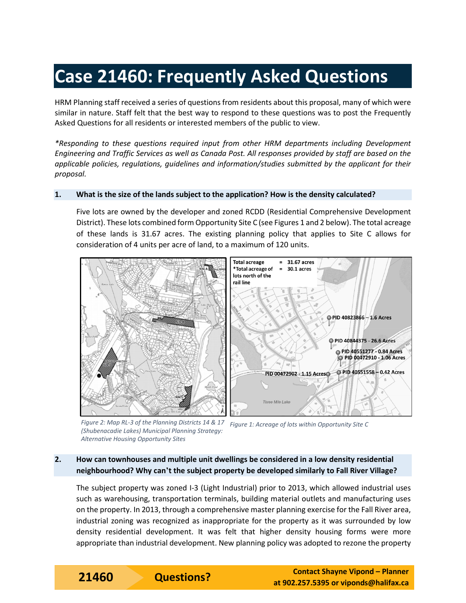# **Case 21460: Frequently Asked Questions**

HRM Planning staff received a series of questions from residents about this proposal, many of which were similar in nature. Staff felt that the best way to respond to these questions was to post the Frequently Asked Questions for all residents or interested members of the public to view.

*\*Responding to these questions required input from other HRM departments including Development Engineering and Traffic Services as well as Canada Post. All responses provided by staff are based on the applicable policies, regulations, guidelines and information/studies submitted by the applicant for their proposal.*

#### **1. What is the size of the lands subject to the application? How is the density calculated?**

Five lots are owned by the developer and zoned RCDD (Residential Comprehensive Development District). These lots combined form Opportunity Site C (see Figures 1 and 2 below). The total acreage of these lands is 31.67 acres. The existing planning policy that applies to Site C allows for consideration of 4 units per acre of land, to a maximum of 120 units.



*Figure 2: Map RL-3 of the Planning Districts 14 & 17 (Shubenacadie Lakes) Municipal Planning Strategy: Alternative Housing Opportunity Sites Figure 1: Acreage of lots within Opportunity Site C*

# **2. How can townhouses and multiple unit dwellings be considered in a low density residential neighbourhood? Why can't the subject property be developed similarly to Fall River Village?**

The subject property was zoned I-3 (Light Industrial) prior to 2013, which allowed industrial uses such as warehousing, transportation terminals, building material outlets and manufacturing uses on the property. In 2013, through a comprehensive master planning exercise for the Fall River area, industrial zoning was recognized as inappropriate for the property as it was surrounded by low density residential development. It was felt that higher density housing forms were more appropriate than industrial development. New planning policy was adopted to rezone the property

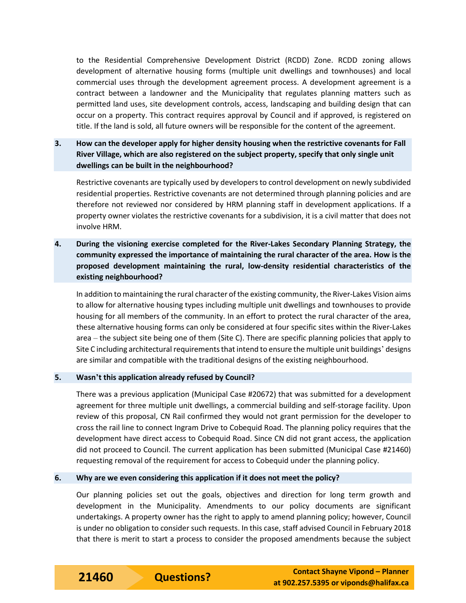to the Residential Comprehensive Development District (RCDD) Zone. RCDD zoning allows development of alternative housing forms (multiple unit dwellings and townhouses) and local commercial uses through the development agreement process. A development agreement is a contract between a landowner and the Municipality that regulates planning matters such as permitted land uses, site development controls, access, landscaping and building design that can occur on a property. This contract requires approval by Council and if approved, is registered on title. If the land is sold, all future owners will be responsible for the content of the agreement.

# **3. How can the developer apply for higher density housing when the restrictive covenants for Fall River Village, which are also registered on the subject property, specify that only single unit dwellings can be built in the neighbourhood?**

Restrictive covenants are typically used by developers to control development on newly subdivided residential properties. Restrictive covenants are not determined through planning policies and are therefore not reviewed nor considered by HRM planning staff in development applications. If a property owner violates the restrictive covenants for a subdivision, it is a civil matter that does not involve HRM.

**4. During the visioning exercise completed for the River-Lakes Secondary Planning Strategy, the community expressed the importance of maintaining the rural character of the area. How is the proposed development maintaining the rural, low-density residential characteristics of the existing neighbourhood?**

In addition to maintaining the rural character of the existing community, the River-Lakes Vision aims to allow for alternative housing types including multiple unit dwellings and townhouses to provide housing for all members of the community. In an effort to protect the rural character of the area, these alternative housing forms can only be considered at four specific sites within the River-Lakes area – the subject site being one of them (Site C). There are specific planning policies that apply to Site C including architectural requirements that intend to ensure the multiple unit buildings' designs are similar and compatible with the traditional designs of the existing neighbourhood.

#### **5. Wasn't this application already refused by Council?**

There was a previous application (Municipal Case #20672) that was submitted for a development agreement for three multiple unit dwellings, a commercial building and self-storage facility. Upon review of this proposal, CN Rail confirmed they would not grant permission for the developer to cross the rail line to connect Ingram Drive to Cobequid Road. The planning policy requires that the development have direct access to Cobequid Road. Since CN did not grant access, the application did not proceed to Council. The current application has been submitted (Municipal Case #21460) requesting removal of the requirement for access to Cobequid under the planning policy.

#### **6. Why are we even considering this application if it does not meet the policy?**

Our planning policies set out the goals, objectives and direction for long term growth and development in the Municipality. Amendments to our policy documents are significant undertakings. A property owner has the right to apply to amend planning policy; however, Council is under no obligation to consider such requests. In this case, staff advised Council in February 2018 that there is merit to start a process to consider the proposed amendments because the subject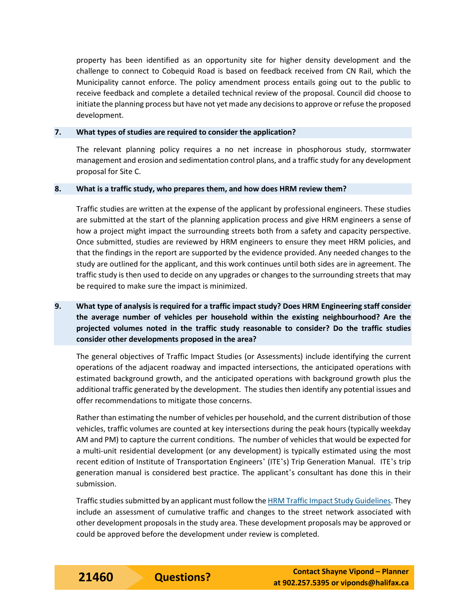property has been identified as an opportunity site for higher density development and the challenge to connect to Cobequid Road is based on feedback received from CN Rail, which the Municipality cannot enforce. The policy amendment process entails going out to the public to receive feedback and complete a detailed technical review of the proposal. Council did choose to initiate the planning process but have not yet made any decisions to approve or refuse the proposed development.

#### **7. What types of studies are required to consider the application?**

The relevant planning policy requires a no net increase in phosphorous study, stormwater management and erosion and sedimentation control plans, and a traffic study for any development proposal for Site C.

#### **8. What is a traffic study, who prepares them, and how does HRM review them?**

Traffic studies are written at the expense of the applicant by professional engineers. These studies are submitted at the start of the planning application process and give HRM engineers a sense of how a project might impact the surrounding streets both from a safety and capacity perspective. Once submitted, studies are reviewed by HRM engineers to ensure they meet HRM policies, and that the findings in the report are supported by the evidence provided. Any needed changes to the study are outlined for the applicant, and this work continues until both sides are in agreement. The traffic study is then used to decide on any upgrades or changes to the surrounding streets that may be required to make sure the impact is minimized.

# **9. What type of analysis is required for a traffic impact study? Does HRM Engineering staff consider the average number of vehicles per household within the existing neighbourhood? Are the projected volumes noted in the traffic study reasonable to consider? Do the traffic studies consider other developments proposed in the area?**

The general objectives of Traffic Impact Studies (or Assessments) include identifying the current operations of the adjacent roadway and impacted intersections, the anticipated operations with estimated background growth, and the anticipated operations with background growth plus the additional traffic generated by the development. The studies then identify any potential issues and offer recommendations to mitigate those concerns.

Rather than estimating the number of vehicles per household, and the current distribution of those vehicles, traffic volumes are counted at key intersections during the peak hours (typically weekday AM and PM) to capture the current conditions. The number of vehicles that would be expected for a multi-unit residential development (or any development) is typically estimated using the most recent edition of Institute of Transportation Engineers' (ITE's) Trip Generation Manual. ITE's trip generation manual is considered best practice. The applicant's consultant has done this in their submission.

Traffic studies submitted by an applicant must follow th[e HRM Traffic Impact Study Guidelines.](https://www.halifax.ca/sites/default/files/documents/transportation/streets-sidewalks/TISGUIDE8.pdf) They include an assessment of cumulative traffic and changes to the street network associated with other development proposals in the study area. These development proposals may be approved or could be approved before the development under review is completed.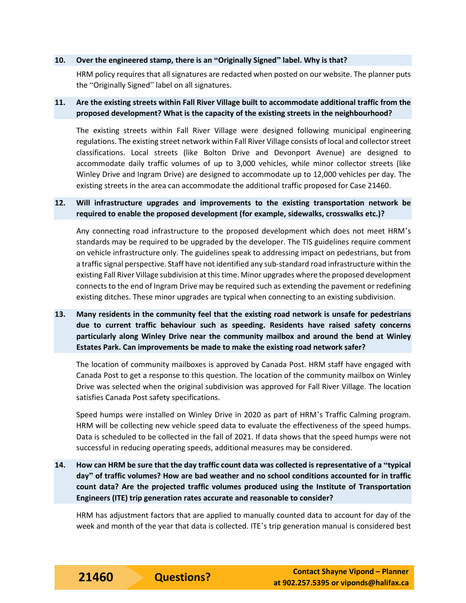#### **10. Over the engineered stamp, there is an "Originally Signed" label. Why is that?**

HRM policy requires that all signatures are redacted when posted on our website. The planner puts the "Originally Signed" label on all signatures.

#### **11. Are the existing streets within Fall River Village built to accommodate additional traffic from the proposed development? What is the capacity of the existing streets in the neighbourhood?**

The existing streets within Fall River Village were designed following municipal engineering regulations. The existing street network within Fall River Village consists of local and collector street classifications. Local streets (like Bolton Drive and Devonport Avenue) are designed to accommodate daily traffic volumes of up to 3,000 vehicles, while minor collector streets (like Winley Drive and Ingram Drive) are designed to accommodate up to 12,000 vehicles per day. The existing streets in the area can accommodate the additional traffic proposed for Case 21460.

#### **12. Will infrastructure upgrades and improvements to the existing transportation network be required to enable the proposed development (for example, sidewalks, crosswalks etc.)?**

Any connecting road infrastructure to the proposed development which does not meet HRM's standards may be required to be upgraded by the developer. The TIS guidelines require comment on vehicle infrastructure only. The guidelines speak to addressing impact on pedestrians, but from a traffic signal perspective. Staff have not identified any sub-standard road infrastructure within the existing Fall River Village subdivision at this time. Minor upgrades where the proposed development connects to the end of Ingram Drive may be required such as extending the pavement or redefining existing ditches. These minor upgrades are typical when connecting to an existing subdivision.

**13. Many residents in the community feel that the existing road network is unsafe for pedestrians due to current traffic behaviour such as speeding. Residents have raised safety concerns particularly along Winley Drive near the community mailbox and around the bend at Winley Estates Park. Can improvements be made to make the existing road network safer?**

The location of community mailboxes is approved by Canada Post. HRM staff have engaged with Canada Post to get a response to this question. The location of the community mailbox on Winley Drive was selected when the original subdivision was approved for Fall River Village. The location satisfies Canada Post safety specifications.

Speed humps were installed on Winley Drive in 2020 as part of HRM's Traffic Calming program. HRM will be collecting new vehicle speed data to evaluate the effectiveness of the speed humps. Data is scheduled to be collected in the fall of 2021. If data shows that the speed humps were not successful in reducing operating speeds, additional measures may be considered.

**14. How can HRM be sure that the day traffic count data was collected is representative of a "typical day" of traffic volumes? How are bad weather and no school conditions accounted for in traffic count data? Are the projected traffic volumes produced using the Institute of Transportation Engineers (ITE) trip generation rates accurate and reasonable to consider?** 

HRM has adjustment factors that are applied to manually counted data to account for day of the week and month of the year that data is collected. ITE's trip generation manual is considered best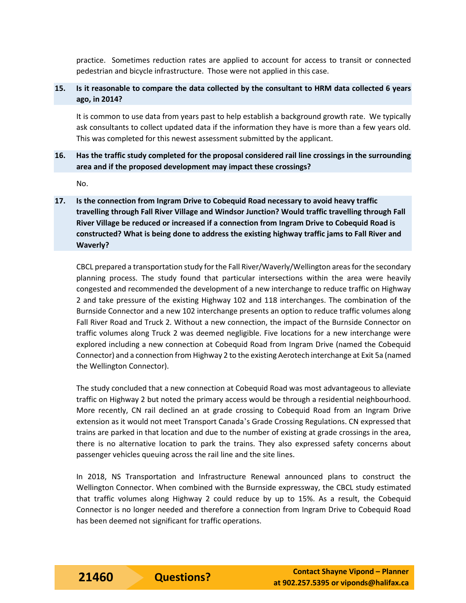practice. Sometimes reduction rates are applied to account for access to transit or connected pedestrian and bicycle infrastructure. Those were not applied in this case.

## **15. Is it reasonable to compare the data collected by the consultant to HRM data collected 6 years ago, in 2014?**

It is common to use data from years past to help establish a background growth rate. We typically ask consultants to collect updated data if the information they have is more than a few years old. This was completed for this newest assessment submitted by the applicant.

## **16. Has the traffic study completed for the proposal considered rail line crossings in the surrounding area and if the proposed development may impact these crossings?**

No.

**17. Is the connection from Ingram Drive to Cobequid Road necessary to avoid heavy traffic travelling through Fall River Village and Windsor Junction? Would traffic travelling through Fall River Village be reduced or increased if a connection from Ingram Drive to Cobequid Road is constructed? What is being done to address the existing highway traffic jams to Fall River and Waverly?** 

CBCL prepared a transportation study for the Fall River/Waverly/Wellington areas for the secondary planning process. The study found that particular intersections within the area were heavily congested and recommended the development of a new interchange to reduce traffic on Highway 2 and take pressure of the existing Highway 102 and 118 interchanges. The combination of the Burnside Connector and a new 102 interchange presents an option to reduce traffic volumes along Fall River Road and Truck 2. Without a new connection, the impact of the Burnside Connector on traffic volumes along Truck 2 was deemed negligible. Five locations for a new interchange were explored including a new connection at Cobequid Road from Ingram Drive (named the Cobequid Connector) and a connection from Highway 2 to the existing Aerotech interchange at Exit 5a (named the Wellington Connector).

The study concluded that a new connection at Cobequid Road was most advantageous to alleviate traffic on Highway 2 but noted the primary access would be through a residential neighbourhood. More recently, CN rail declined an at grade crossing to Cobequid Road from an Ingram Drive extension as it would not meet Transport Canada's Grade Crossing Regulations. CN expressed that trains are parked in that location and due to the number of existing at grade crossings in the area, there is no alternative location to park the trains. They also expressed safety concerns about passenger vehicles queuing across the rail line and the site lines.

In 2018, NS Transportation and Infrastructure Renewal announced plans to construct the Wellington Connector. When combined with the Burnside expressway, the CBCL study estimated that traffic volumes along Highway 2 could reduce by up to 15%. As a result, the Cobequid Connector is no longer needed and therefore a connection from Ingram Drive to Cobequid Road has been deemed not significant for traffic operations.